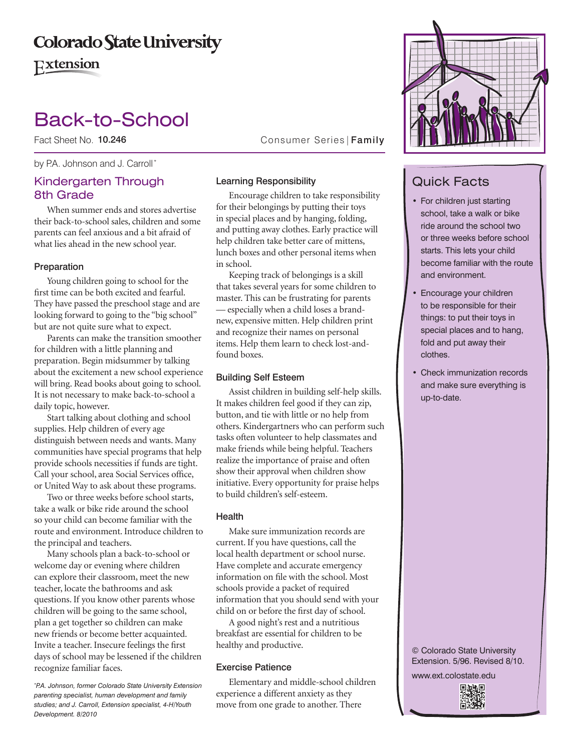## **Colorado State University**

**Extension** 

# Back-to-School

Fact Sheet No. 10.246

by P.A. Johnson and J. Carroll\*

## Kindergarten Through 8th Grade

When summer ends and stores advertise their back-to-school sales, children and some parents can feel anxious and a bit afraid of what lies ahead in the new school year.

### Preparation

Young children going to school for the first time can be both excited and fearful. They have passed the preschool stage and are looking forward to going to the "big school" but are not quite sure what to expect.

Parents can make the transition smoother for children with a little planning and preparation. Begin midsummer by talking about the excitement a new school experience will bring. Read books about going to school. It is not necessary to make back-to-school a daily topic, however.

Start talking about clothing and school supplies. Help children of every age distinguish between needs and wants. Many communities have special programs that help provide schools necessities if funds are tight. Call your school, area Social Services office, or United Way to ask about these programs.

Two or three weeks before school starts, take a walk or bike ride around the school so your child can become familiar with the route and environment. Introduce children to the principal and teachers.

Many schools plan a back-to-school or welcome day or evening where children can explore their classroom, meet the new teacher, locate the bathrooms and ask questions. If you know other parents whose children will be going to the same school, plan a get together so children can make new friends or become better acquainted. Invite a teacher. Insecure feelings the first days of school may be lessened if the children recognize familiar faces.

*\* P.A. Johnson, former Colorado State University Extension parenting specialist, human development and family studies; and J. Carroll, Extension specialist, 4-H/Youth Development. 8/2010*

Consumer Series | Family

## Learning Responsibility

Encourage children to take responsibility for their belongings by putting their toys in special places and by hanging, folding, and putting away clothes. Early practice will help children take better care of mittens, lunch boxes and other personal items when in school.

Keeping track of belongings is a skill that takes several years for some children to master. This can be frustrating for parents — especially when a child loses a brandnew, expensive mitten. Help children print and recognize their names on personal items. Help them learn to check lost-andfound boxes.

### Building Self Esteem

Assist children in building self-help skills. It makes children feel good if they can zip, button, and tie with little or no help from others. Kindergartners who can perform such tasks often volunteer to help classmates and make friends while being helpful. Teachers realize the importance of praise and often show their approval when children show initiative. Every opportunity for praise helps to build children's self-esteem.

### Health

Make sure immunization records are current. If you have questions, call the local health department or school nurse. Have complete and accurate emergency information on file with the school. Most schools provide a packet of required information that you should send with your child on or before the first day of school.

A good night's rest and a nutritious breakfast are essential for children to be healthy and productive.

## Exercise Patience

Elementary and middle-school children experience a different anxiety as they move from one grade to another. There



## Quick Facts

- For children just starting school, take a walk or bike ride around the school two or three weeks before school starts. This lets your child become familiar with the route and environment.
- Encourage your children to be responsible for their things: to put their toys in special places and to hang, fold and put away their clothes.
- Check immunization records and make sure everything is up-to-date.

© Colorado State University Extension. 5/96. Revised 8/10.

www.ext.colostate.edu

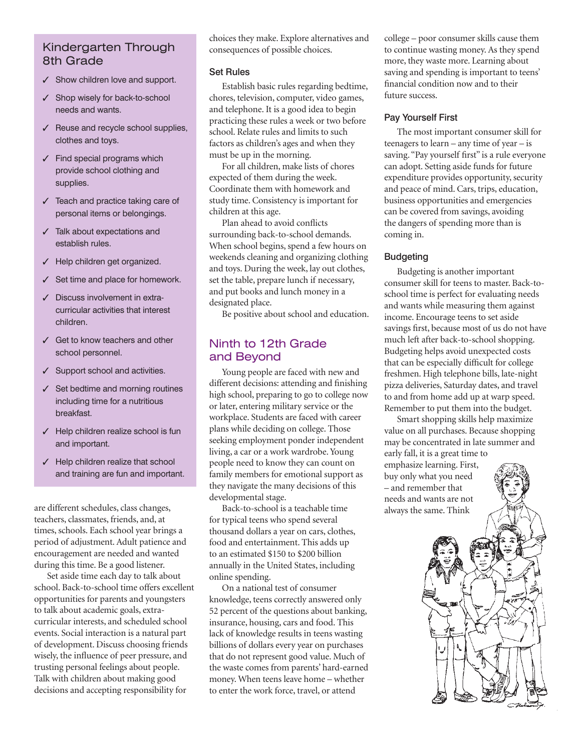## Kindergarten Through 8th Grade

- $\checkmark$  Show children love and support.
- $\checkmark$  Shop wisely for back-to-school needs and wants.
- $\checkmark$  Reuse and recycle school supplies, clothes and toys.
- $<$  Find special programs which provide school clothing and supplies.
- $<$  Teach and practice taking care of personal items or belongings.
- $<$  Talk about expectations and establish rules.
- $<$  Help children get organized.
- $\checkmark$  Set time and place for homework.
- $\checkmark$  Discuss involvement in extracurricular activities that interest children.
- $\checkmark$  Get to know teachers and other school personnel.
- $\checkmark$  Support school and activities.
- $<$  Set bedtime and morning routines including time for a nutritious breakfast.
- $\checkmark$  Help children realize school is fun and important.
- $\checkmark$  Help children realize that school and training are fun and important.

are different schedules, class changes, teachers, classmates, friends, and, at times, schools. Each school year brings a period of adjustment. Adult patience and encouragement are needed and wanted during this time. Be a good listener.

Set aside time each day to talk about school. Back-to-school time offers excellent opportunities for parents and youngsters to talk about academic goals, extracurricular interests, and scheduled school events. Social interaction is a natural part of development. Discuss choosing friends wisely, the influence of peer pressure, and trusting personal feelings about people. Talk with children about making good decisions and accepting responsibility for

choices they make. Explore alternatives and consequences of possible choices.

#### Set Rules

Establish basic rules regarding bedtime, chores, television, computer, video games, and telephone. It is a good idea to begin practicing these rules a week or two before school. Relate rules and limits to such factors as children's ages and when they must be up in the morning.

For all children, make lists of chores expected of them during the week. Coordinate them with homework and study time. Consistency is important for children at this age.

Plan ahead to avoid conflicts surrounding back-to-school demands. When school begins, spend a few hours on weekends cleaning and organizing clothing and toys. During the week, lay out clothes, set the table, prepare lunch if necessary, and put books and lunch money in a designated place.

Be positive about school and education.

## Ninth to 12th Grade and Beyond

Young people are faced with new and different decisions: attending and finishing high school, preparing to go to college now or later, entering military service or the workplace. Students are faced with career plans while deciding on college. Those seeking employment ponder independent living, a car or a work wardrobe. Young people need to know they can count on family members for emotional support as they navigate the many decisions of this developmental stage.

Back-to-school is a teachable time for typical teens who spend several thousand dollars a year on cars, clothes, food and entertainment. This adds up to an estimated \$150 to \$200 billion annually in the United States, including online spending.

On a national test of consumer knowledge, teens correctly answered only 52 percent of the questions about banking, insurance, housing, cars and food. This lack of knowledge results in teens wasting billions of dollars every year on purchases that do not represent good value. Much of the waste comes from parents' hard-earned money. When teens leave home – whether to enter the work force, travel, or attend

college – poor consumer skills cause them to continue wasting money. As they spend more, they waste more. Learning about saving and spending is important to teens' financial condition now and to their future success.

## Pay Yourself First

The most important consumer skill for teenagers to learn – any time of year – is saving. "Pay yourself first" is a rule everyone can adopt. Setting aside funds for future expenditure provides opportunity, security and peace of mind. Cars, trips, education, business opportunities and emergencies can be covered from savings, avoiding the dangers of spending more than is coming in.

## Budgeting

Budgeting is another important consumer skill for teens to master. Back-toschool time is perfect for evaluating needs and wants while measuring them against income. Encourage teens to set aside savings first, because most of us do not have much left after back-to-school shopping. Budgeting helps avoid unexpected costs that can be especially difficult for college freshmen. High telephone bills, late-night pizza deliveries, Saturday dates, and travel to and from home add up at warp speed. Remember to put them into the budget.

Smart shopping skills help maximize value on all purchases. Because shopping may be concentrated in late summer and early fall, it is a great time to emphasize learning. First,

buy only what you need – and remember that needs and wants are not always the same. Think